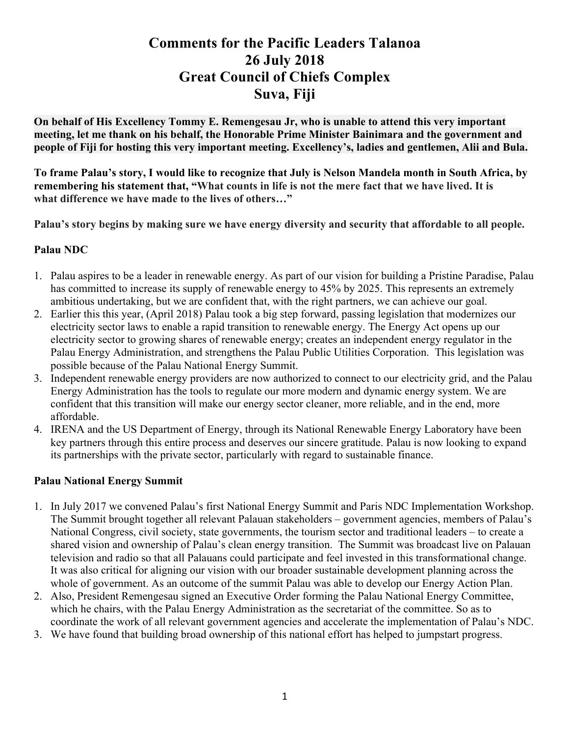## **Comments for the Pacific Leaders Talanoa 26 July 2018 Great Council of Chiefs Complex Suva, Fiji**

**On behalf of His Excellency Tommy E. Remengesau Jr, who is unable to attend this very important meeting, let me thank on his behalf, the Honorable Prime Minister Bainimara and the government and people of Fiji for hosting this very important meeting. Excellency's, ladies and gentlemen, Alii and Bula.**

**To frame Palau's story, I would like to recognize that July is Nelson Mandela month in South Africa, by remembering his statement that, "What counts in life is not the mere fact that we have lived. It is what difference we have made to the lives of others…"**

**Palau's story begins by making sure we have energy diversity and security that affordable to all people.** 

## **Palau NDC**

- 1. Palau aspires to be a leader in renewable energy. As part of our vision for building a Pristine Paradise, Palau has committed to increase its supply of renewable energy to 45% by 2025. This represents an extremely ambitious undertaking, but we are confident that, with the right partners, we can achieve our goal.
- 2. Earlier this this year, (April 2018) Palau took a big step forward, passing legislation that modernizes our electricity sector laws to enable a rapid transition to renewable energy. The Energy Act opens up our electricity sector to growing shares of renewable energy; creates an independent energy regulator in the Palau Energy Administration, and strengthens the Palau Public Utilities Corporation. This legislation was possible because of the Palau National Energy Summit.
- 3. Independent renewable energy providers are now authorized to connect to our electricity grid, and the Palau Energy Administration has the tools to regulate our more modern and dynamic energy system. We are confident that this transition will make our energy sector cleaner, more reliable, and in the end, more affordable.
- 4. IRENA and the US Department of Energy, through its National Renewable Energy Laboratory have been key partners through this entire process and deserves our sincere gratitude. Palau is now looking to expand its partnerships with the private sector, particularly with regard to sustainable finance.

## **Palau National Energy Summit**

- 1. In July 2017 we convened Palau's first National Energy Summit and Paris NDC Implementation Workshop. The Summit brought together all relevant Palauan stakeholders – government agencies, members of Palau's National Congress, civil society, state governments, the tourism sector and traditional leaders – to create a shared vision and ownership of Palau's clean energy transition. The Summit was broadcast live on Palauan television and radio so that all Palauans could participate and feel invested in this transformational change. It was also critical for aligning our vision with our broader sustainable development planning across the whole of government. As an outcome of the summit Palau was able to develop our Energy Action Plan.
- 2. Also, President Remengesau signed an Executive Order forming the Palau National Energy Committee, which he chairs, with the Palau Energy Administration as the secretariat of the committee. So as to coordinate the work of all relevant government agencies and accelerate the implementation of Palau's NDC.
- 3. We have found that building broad ownership of this national effort has helped to jumpstart progress.